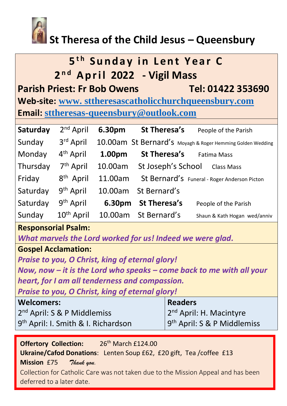

# **St Theresa of the Child Jesus – Queensbury**

# $5<sup>th</sup>$  Sunday in Lent Year C **12<sup>nd</sup> April 2022 - Vigil Mass**

**Parish Priest: Fr Bob Owens Tel: 01422 353690** 

**Web-site: www. [sttheresascatholicchurchqueensbury.com](http://www.sttheresascatholicchurchqueensbury.com/) Email: [sttheresas-queensbury@outlook.com](mailto:sttheresas-queensbury@outlook.com)**

| $2nd$ April           | 6.30pm  | St Theresa's       | People of the Parish                                                       |
|-----------------------|---------|--------------------|----------------------------------------------------------------------------|
| 3rd April             |         |                    |                                                                            |
| 4 <sup>th</sup> April | 1.00pm  | St Theresa's       | <b>Fatima Mass</b>                                                         |
| 7 <sup>th</sup> April | 10.00am | St Joseph's School | <b>Class Mass</b>                                                          |
| 8 <sup>th</sup> April | 11.00am |                    | St Bernard's Funeral - Roger Anderson Picton                               |
| 9 <sup>th</sup> April | 10.00am | St Bernard's       |                                                                            |
| 9 <sup>th</sup> April | 6.30pm  | St Theresa's       | People of the Parish                                                       |
| $10th$ April          | 10.00am |                    | Shaun & Kath Hogan wed/anniv                                               |
|                       |         |                    | 10.00am St Bernard's Moyagh & Roger Hemming Golden Wedding<br>St Bernard's |

**Responsorial Psalm:** 

*What marvels the Lord worked for us! Indeed we were glad.*

## **Gospel Acclamation:**

*Praise to you, O Christ, king of eternal glory! Now, now – it is the Lord who speaks – come back to me with all your heart, for I am all tenderness and compassion. Praise to you, O Christ, king of eternal gloryl* 

| <b>Welcomers:</b>                               | <b>Readers</b>                          |  |  |
|-------------------------------------------------|-----------------------------------------|--|--|
| $2nd$ April: S & P Middlemiss                   | 2 <sup>nd</sup> April: H. Macintyre     |  |  |
| 9 <sup>th</sup> April: I. Smith & I. Richardson | 9 <sup>th</sup> April: S & P Middlemiss |  |  |

**Offertory Collection:** 26<sup>th</sup> March £124.00 **Ukraine/Cafod Donations**: Lenten Soup £62, £20 gift, Tea /coffee £13 **Mission** £75 *Thank you.*  Collection for Catholic Care was not taken due to the Mission Appeal and has been deferred to a later date.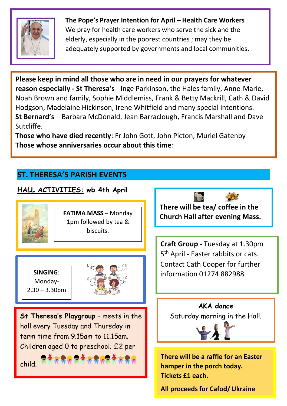

**The Pope's Prayer Intention for April – Health Care Workers**  We pray for health care workers who serve the sick and the elderly, especially in the poorest countries ; may they be adequately supported by governments and local communities**.**

**Please keep in mind all those who are in need in our prayers for whatever reason especially - St Theresa's** - Inge Parkinson, the Hales family, Anne-Marie, Noah Brown and family, Sophie Middlemiss, Frank & Betty Mackrill, Cath & David Hodgson, Madelaine Hickinson, Irene Whitfield and many special intentions. **St Bernard's** – Barbara McDonald, Jean Barraclough, Francis Marshall and Dave Sutcliffe.

**Those who have died recently**: Fr John Gott, John Picton, Muriel Gatenby **Those whose anniversaries occur about this time**:

## **ST. THERESA'S PARISH EVENTS**

#### **HALL ACTIVITIES: wb 4th April There will be a raffle for an Easter hamper in the porch today. Tickets £1 each. AKA dance**  Saturday morning in the Hall. **There will be tea/ coffee in the FATIMA MASS** – Monday **Example 2 Lines Church Hall after evening Mass.** 1pm followed by tea & biscuits.  $\overline{\mathsf{I}}$ **SINGING**: Monday- $2.30 - 3.30$ pm **Craft Group** - Tuesday at 1.30pm 5 th April - Easter rabbits or cats. Contact Cath Cooper for further information 01274 882988 Ϊ **St Theresa's Playgroup** – meets in the hall every Tuesday and Thursday in term time from 9.15am to 11.15am. Children aged 0 to preschool. £2 per child. ٦

**All proceeds for Cafod/ Ukraine**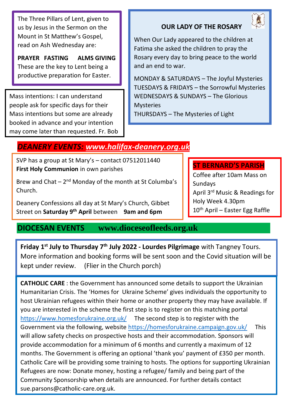The Three Pillars of Lent, given to us by Jesus in the Sermon on the Mount in St Matthew's Gospel, read on Ash Wednesday are:

**PRAYER FASTING ALMS GIVING** These are the key to Lent being a productive preparation for Easter.

*1* booked in advance and your intention Mass intentions: I can understand people ask for specific days for their Mass intentions but some are already may come later than requested. Fr. Bob

### **OUR LADY OF THE ROSARY**

When Our Lady appeared to the children at Fatima she asked the children to pray the Rosary every day to bring peace to the world and an end to war.

MONDAY & SATURDAYS – The Joyful Mysteries TUESDAYS & FRIDAYS – the Sorrowful Mysteries WEDNESDAYS & SUNDAYS – The Glorious **Mysteries** THURSDAYS – The Mysteries of Light

## *DEANERY EVENTS: [www.halifax-deanery.org.uk](http://www.halifax-deanery.org.uk/)*

SVP has a group at St Mary's – contact 07512011440 **First Holy Communion** in own parishes

Brew and Chat  $-2<sup>nd</sup>$  Monday of the month at St Columba's Church.

Deanery Confessions all day at St Mary's Church, Gibbet Street on **Saturday 9th April** between **9am and 6pm** 

#### **ST BERNARD'S PARISH**

Coffee after 10am Mass on Sundays April 3rd Music & Readings for Holy Week 4.30pm  $10^{th}$  April – Easter Egg Raffle

### **DIOCESAN EVENTS www.dioceseofleeds.org.uk**

**Friday 1st July to Thursday 7th July 2022 - Lourdes Pilgrimage** with Tangney Tours. More information and booking forms will be sent soon and the Covid situation will be kept under review. (Flier in the Church porch)

**CATHOLIC CARE** : the Government has announced some details to support the Ukrainian Humanitarian Crisis. The 'Homes for Ukraine Scheme' gives individuals the opportunity to host Ukrainian refugees within their home or another property they may have available. If you are interested in the scheme the first step is to register on this matching portal <https://www.homesforukraine.org.uk/>The second step is to register with the Government via the following, website<https://homesforukraine.campaign.gov.uk/>This will allow safety checks on prospective hosts and their accommodation. Sponsors will provide accommodation for a minimum of 6 months and currently a maximum of 12 months. The Government is offering an optional 'thank you' payment of £350 per month. Catholic Care will be providing some training to hosts. The options for supporting Ukrainian Refugees are now: Donate money, hosting a refugee/ family and being part of the Community Sponsorship when details are announced. For further details contact sue.parsons@catholic-care.org.uk.